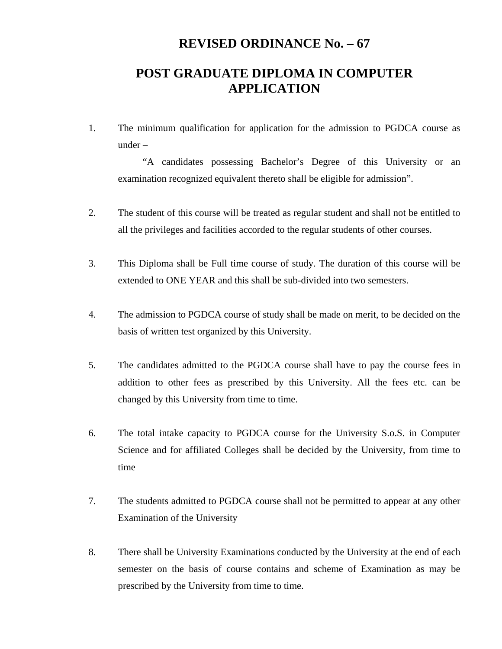## **REVISED ORDINANCE No. – 67**

## **POST GRADUATE DIPLOMA IN COMPUTER APPLICATION**

1. The minimum qualification for application for the admission to PGDCA course as under –

"A candidates possessing Bachelor's Degree of this University or an examination recognized equivalent thereto shall be eligible for admission".

- 2. The student of this course will be treated as regular student and shall not be entitled to all the privileges and facilities accorded to the regular students of other courses.
- 3. This Diploma shall be Full time course of study. The duration of this course will be extended to ONE YEAR and this shall be sub-divided into two semesters.
- 4. The admission to PGDCA course of study shall be made on merit, to be decided on the basis of written test organized by this University.
- 5. The candidates admitted to the PGDCA course shall have to pay the course fees in addition to other fees as prescribed by this University. All the fees etc. can be changed by this University from time to time.
- 6. The total intake capacity to PGDCA course for the University S.o.S. in Computer Science and for affiliated Colleges shall be decided by the University, from time to time
- 7. The students admitted to PGDCA course shall not be permitted to appear at any other Examination of the University
- 8. There shall be University Examinations conducted by the University at the end of each semester on the basis of course contains and scheme of Examination as may be prescribed by the University from time to time.